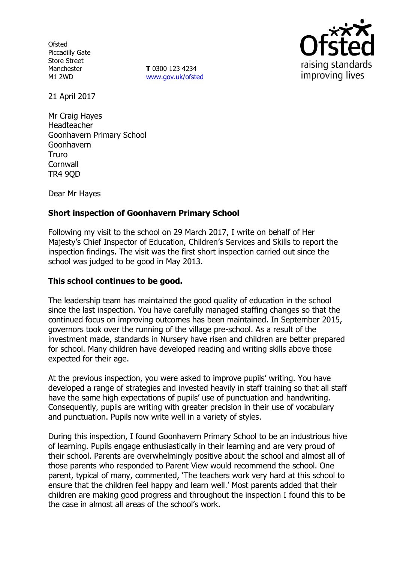**Ofsted** Piccadilly Gate Store Street Manchester M1 2WD

**T** 0300 123 4234 www.gov.uk/ofsted



21 April 2017

Mr Craig Hayes Headteacher Goonhavern Primary School Goonhavern Truro **Cornwall** TR4 9QD

Dear Mr Hayes

# **Short inspection of Goonhavern Primary School**

Following my visit to the school on 29 March 2017, I write on behalf of Her Majesty's Chief Inspector of Education, Children's Services and Skills to report the inspection findings. The visit was the first short inspection carried out since the school was judged to be good in May 2013.

## **This school continues to be good.**

The leadership team has maintained the good quality of education in the school since the last inspection. You have carefully managed staffing changes so that the continued focus on improving outcomes has been maintained. In September 2015, governors took over the running of the village pre-school. As a result of the investment made, standards in Nursery have risen and children are better prepared for school. Many children have developed reading and writing skills above those expected for their age.

At the previous inspection, you were asked to improve pupils' writing. You have developed a range of strategies and invested heavily in staff training so that all staff have the same high expectations of pupils' use of punctuation and handwriting. Consequently, pupils are writing with greater precision in their use of vocabulary and punctuation. Pupils now write well in a variety of styles.

During this inspection, I found Goonhavern Primary School to be an industrious hive of learning. Pupils engage enthusiastically in their learning and are very proud of their school. Parents are overwhelmingly positive about the school and almost all of those parents who responded to Parent View would recommend the school. One parent, typical of many, commented, 'The teachers work very hard at this school to ensure that the children feel happy and learn well.' Most parents added that their children are making good progress and throughout the inspection I found this to be the case in almost all areas of the school's work.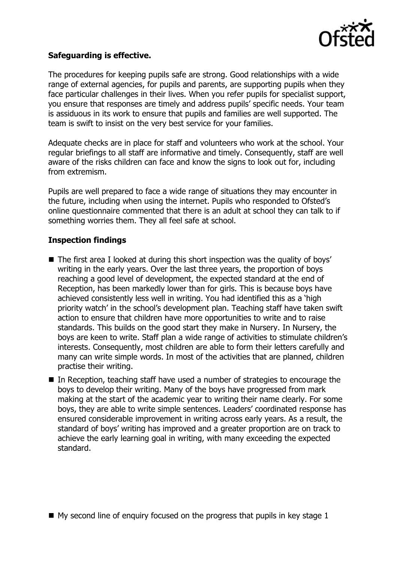

## **Safeguarding is effective.**

The procedures for keeping pupils safe are strong. Good relationships with a wide range of external agencies, for pupils and parents, are supporting pupils when they face particular challenges in their lives. When you refer pupils for specialist support, you ensure that responses are timely and address pupils' specific needs. Your team is assiduous in its work to ensure that pupils and families are well supported. The team is swift to insist on the very best service for your families.

Adequate checks are in place for staff and volunteers who work at the school. Your regular briefings to all staff are informative and timely. Consequently, staff are well aware of the risks children can face and know the signs to look out for, including from extremism.

Pupils are well prepared to face a wide range of situations they may encounter in the future, including when using the internet. Pupils who responded to Ofsted's online questionnaire commented that there is an adult at school they can talk to if something worries them. They all feel safe at school.

#### **Inspection findings**

- The first area I looked at during this short inspection was the quality of boys' writing in the early years. Over the last three years, the proportion of boys reaching a good level of development, the expected standard at the end of Reception, has been markedly lower than for girls. This is because boys have achieved consistently less well in writing. You had identified this as a 'high priority watch' in the school's development plan. Teaching staff have taken swift action to ensure that children have more opportunities to write and to raise standards. This builds on the good start they make in Nursery. In Nursery, the boys are keen to write. Staff plan a wide range of activities to stimulate children's interests. Consequently, most children are able to form their letters carefully and many can write simple words. In most of the activities that are planned, children practise their writing.
- In Reception, teaching staff have used a number of strategies to encourage the boys to develop their writing. Many of the boys have progressed from mark making at the start of the academic year to writing their name clearly. For some boys, they are able to write simple sentences. Leaders' coordinated response has ensured considerable improvement in writing across early years. As a result, the standard of boys' writing has improved and a greater proportion are on track to achieve the early learning goal in writing, with many exceeding the expected standard.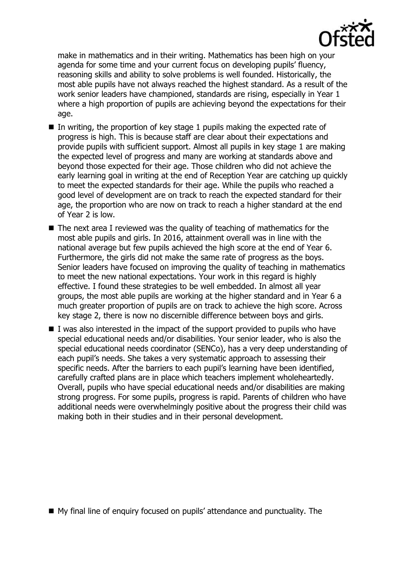

make in mathematics and in their writing. Mathematics has been high on your agenda for some time and your current focus on developing pupils' fluency, reasoning skills and ability to solve problems is well founded. Historically, the most able pupils have not always reached the highest standard. As a result of the work senior leaders have championed, standards are rising, especially in Year 1 where a high proportion of pupils are achieving beyond the expectations for their age.

- In writing, the proportion of key stage 1 pupils making the expected rate of progress is high. This is because staff are clear about their expectations and provide pupils with sufficient support. Almost all pupils in key stage 1 are making the expected level of progress and many are working at standards above and beyond those expected for their age. Those children who did not achieve the early learning goal in writing at the end of Reception Year are catching up quickly to meet the expected standards for their age. While the pupils who reached a good level of development are on track to reach the expected standard for their age, the proportion who are now on track to reach a higher standard at the end of Year 2 is low.
- $\blacksquare$  The next area I reviewed was the quality of teaching of mathematics for the most able pupils and girls. In 2016, attainment overall was in line with the national average but few pupils achieved the high score at the end of Year 6. Furthermore, the girls did not make the same rate of progress as the boys. Senior leaders have focused on improving the quality of teaching in mathematics to meet the new national expectations. Your work in this regard is highly effective. I found these strategies to be well embedded. In almost all year groups, the most able pupils are working at the higher standard and in Year 6 a much greater proportion of pupils are on track to achieve the high score. Across key stage 2, there is now no discernible difference between boys and girls.
- $\blacksquare$  I was also interested in the impact of the support provided to pupils who have special educational needs and/or disabilities. Your senior leader, who is also the special educational needs coordinator (SENCo), has a very deep understanding of each pupil's needs. She takes a very systematic approach to assessing their specific needs. After the barriers to each pupil's learning have been identified, carefully crafted plans are in place which teachers implement wholeheartedly. Overall, pupils who have special educational needs and/or disabilities are making strong progress. For some pupils, progress is rapid. Parents of children who have additional needs were overwhelmingly positive about the progress their child was making both in their studies and in their personal development.